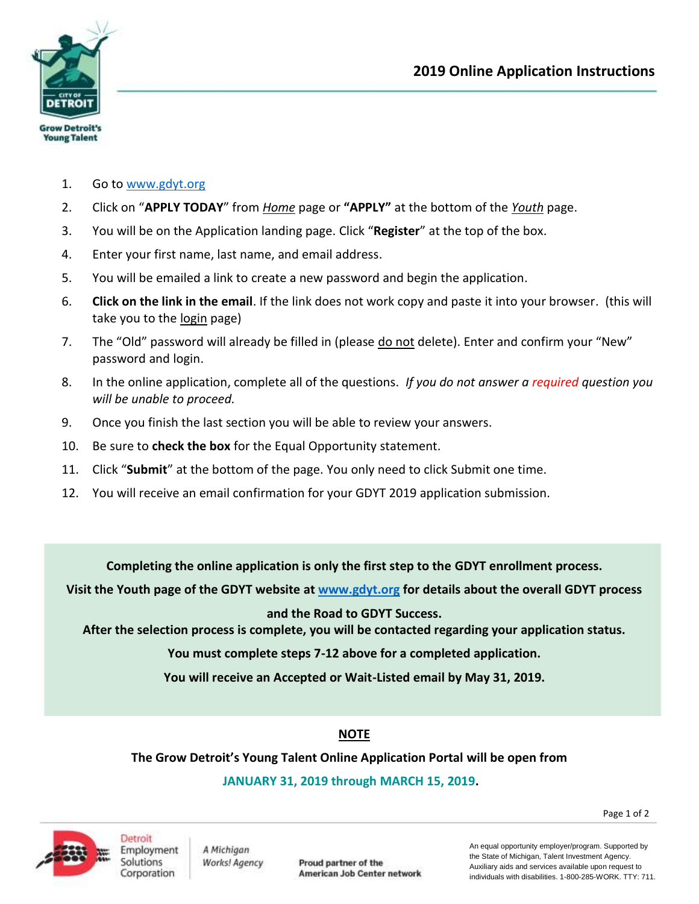

- 1. Go to [www.gdyt.org](http://www.gdyt.org/)
- 2. Click on "**APPLY TODAY**" from *Home* page or **"APPLY"** at the bottom of the *Youth* page.
- 3. You will be on the Application landing page. Click "**Register**" at the top of the box.
- 4. Enter your first name, last name, and email address.
- 5. You will be emailed a link to create a new password and begin the application.
- 6. **Click on the link in the email**. If the link does not work copy and paste it into your browser. (this will take you to the login page)
- 7. The "Old" password will already be filled in (please do not delete). Enter and confirm your "New" password and login.
- 8. In the online application, complete all of the questions. *If you do not answer a required question you will be unable to proceed.*
- 9. Once you finish the last section you will be able to review your answers.
- 10. Be sure to **check the box** for the Equal Opportunity statement.
- 11. Click "**Submit**" at the bottom of the page. You only need to click Submit one time.
- 12. You will receive an email confirmation for your GDYT 2019 application submission.

**Completing the online application is only the first step to the GDYT enrollment process.** 

**Visit the Youth page of the GDYT website at [www.gdyt.org](http://www.gdyt.org/) for details about the overall GDYT process**

**and the Road to GDYT Success.**

**After the selection process is complete, you will be contacted regarding your application status.**

**You must complete steps 7-12 above for a completed application.**

**You will receive an Accepted or Wait-Listed email by May 31, 2019.**

### **NOTE**

**The Grow Detroit's Young Talent Online Application Portal will be open from**

**JANUARY 31, 2019 through MARCH 15, 2019.**



A Michigan Works! Agency

Proud partner of the American Job Center network An equal opportunity employer/program. Supported by the State of Michigan, Talent Investment Agency. Auxiliary aids and services available upon request to individuals with disabilities. 1-800-285-WORK. TTY: 711.

Page 1 of 2